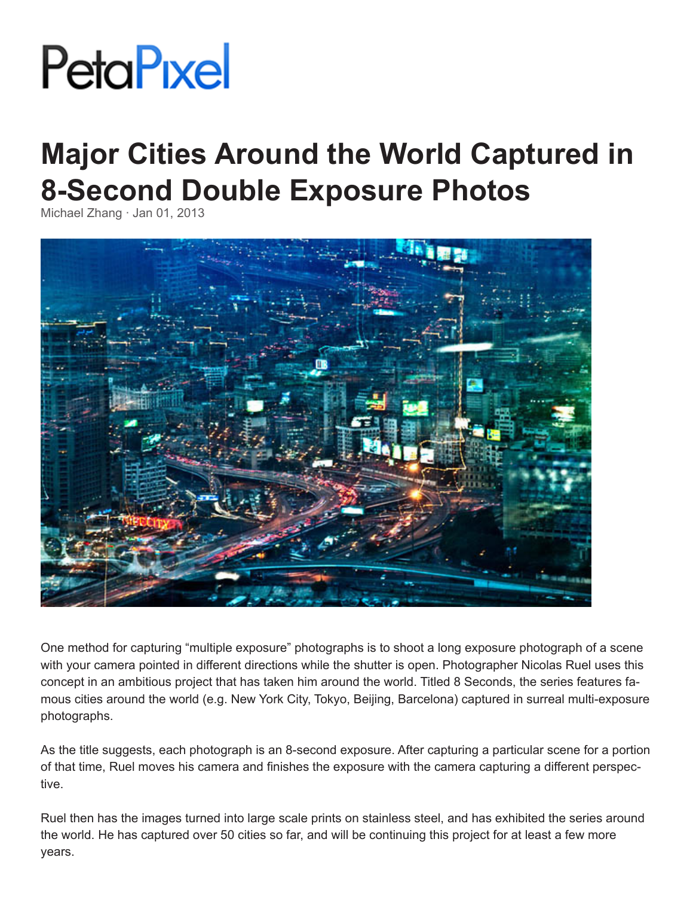## **PetaPixel**

## **Major Cities Around the World Captured in 8-Second Double Exposure Photos**

Michael Zhang · Jan 01, 2013



One method for capturing "multiple exposure" photographs is to shoot a long exposure photograph of a scene with your camera pointed in different directions while the shutter is open. Photographer Nicolas Ruel uses this concept in an ambitious project that has taken him around the world. Titled 8 Seconds, the series features famous cities around the world (e.g. New York City, Tokyo, Beijing, Barcelona) captured in surreal multi-exposure photographs.

As the title suggests, each photograph is an 8-second exposure. After capturing a particular scene for a portion of that time, Ruel moves his camera and finishes the exposure with the camera capturing a different perspective.

Ruel then has the images turned into large scale prints on stainless steel, and has exhibited the series around the world. He has captured over 50 cities so far, and will be continuing this project for at least a few more years.